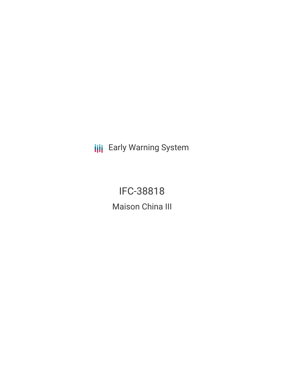**III** Early Warning System

IFC-38818 Maison China III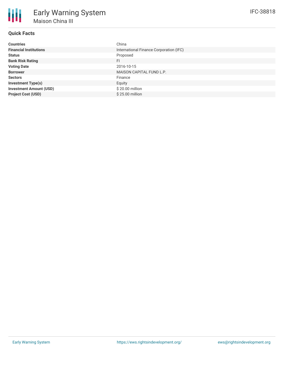| <b>Countries</b>               | China                                   |
|--------------------------------|-----------------------------------------|
| <b>Financial Institutions</b>  | International Finance Corporation (IFC) |
| <b>Status</b>                  | Proposed                                |
| <b>Bank Risk Rating</b>        | FI.                                     |
| <b>Voting Date</b>             | 2016-10-15                              |
| <b>Borrower</b>                | MAISON CAPITAL FUND L.P.                |
| <b>Sectors</b>                 | Finance                                 |
| <b>Investment Type(s)</b>      | Equity                                  |
| <b>Investment Amount (USD)</b> | \$20.00 million                         |
| <b>Project Cost (USD)</b>      | \$25.00 million                         |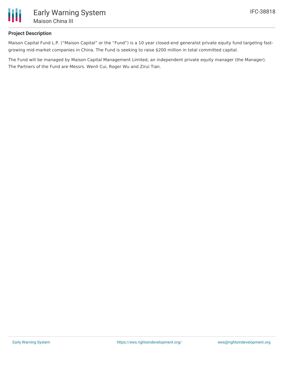

## **Project Description**

Maison Capital Fund L.P. ("Maison Capital" or the "Fund") is a 10 year closed-end generalist private equity fund targeting fastgrowing mid-market companies in China. The Fund is seeking to raise \$200 million in total committed capital.

The Fund will be managed by Maison Capital Management Limited, an independent private equity manager (the Manager). The Partners of the Fund are Messrs. Wenli Cui, Roger Wu and Zirui Tian.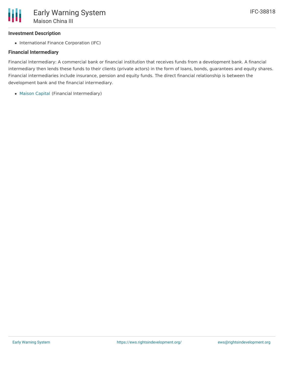## **Investment Description**

• International Finance Corporation (IFC)

# **Financial Intermediary**

Financial Intermediary: A commercial bank or financial institution that receives funds from a development bank. A financial intermediary then lends these funds to their clients (private actors) in the form of loans, bonds, guarantees and equity shares. Financial intermediaries include insurance, pension and equity funds. The direct financial relationship is between the development bank and the financial intermediary.

[Maison](file:///actor/889/) Capital (Financial Intermediary)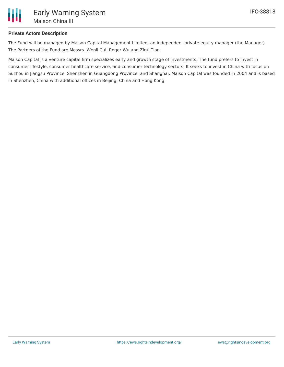

# **Private Actors Description**

The Fund will be managed by Maison Capital Management Limited, an independent private equity manager (the Manager). The Partners of the Fund are Messrs. Wenli Cui, Roger Wu and Zirui Tian.

Maison Capital is a venture capital firm specializes early and growth stage of investments. The fund prefers to invest in consumer lifestyle, consumer healthcare service, and consumer technology sectors. It seeks to invest in China with focus on Suzhou in Jiangsu Province, Shenzhen in Guangdong Province, and Shanghai. Maison Capital was founded in 2004 and is based in Shenzhen, China with additional offices in Beijing, China and Hong Kong.